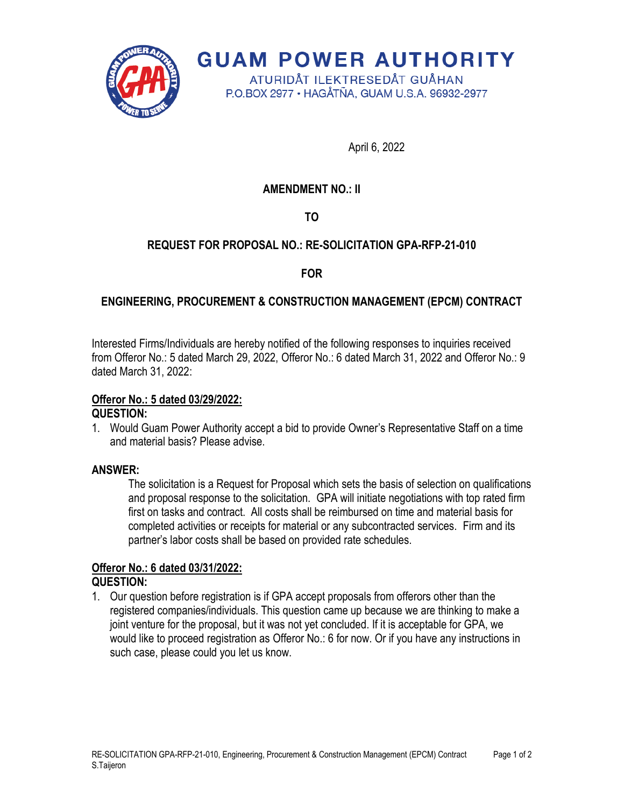

# **GUAM POWER AUTHORITY**

ATURIDÅT ILEKTRESEDÅT GUÅHAN P.O.BOX 2977 • HAGÅTÑA, GUAM U.S.A. 96932-2977

April 6, 2022

# **AMENDMENT NO.: II**

**TO**

# **REQUEST FOR PROPOSAL NO.: RE-SOLICITATION GPA-RFP-21-010**

**FOR**

## **ENGINEERING, PROCUREMENT & CONSTRUCTION MANAGEMENT (EPCM) CONTRACT**

Interested Firms/Individuals are hereby notified of the following responses to inquiries received from Offeror No.: 5 dated March 29, 2022, Offeror No.: 6 dated March 31, 2022 and Offeror No.: 9 dated March 31, 2022:

# **Offeror No.: 5 dated 03/29/2022:**

## **QUESTION:**

1. Would Guam Power Authority accept a bid to provide Owner's Representative Staff on a time and material basis? Please advise.

#### **ANSWER:**

The solicitation is a Request for Proposal which sets the basis of selection on qualifications and proposal response to the solicitation. GPA will initiate negotiations with top rated firm first on tasks and contract. All costs shall be reimbursed on time and material basis for completed activities or receipts for material or any subcontracted services. Firm and its partner's labor costs shall be based on provided rate schedules.

# **Offeror No.: 6 dated 03/31/2022:**

#### **QUESTION:**

1. Our question before registration is if GPA accept proposals from offerors other than the registered companies/individuals. This question came up because we are thinking to make a joint venture for the proposal, but it was not yet concluded. If it is acceptable for GPA, we would like to proceed registration as Offeror No.: 6 for now. Or if you have any instructions in such case, please could you let us know.